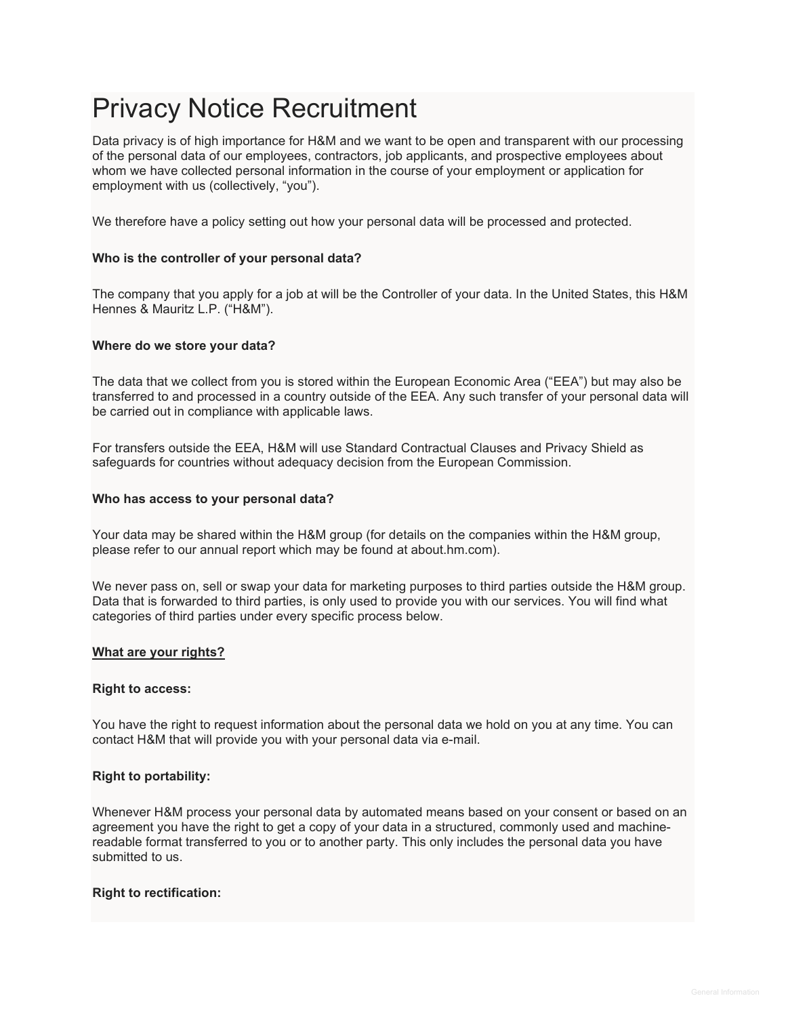# Privacy Notice Recruitment

Data privacy is of high importance for H&M and we want to be open and transparent with our processing of the personal data of our employees, contractors, job applicants, and prospective employees about whom we have collected personal information in the course of your employment or application for employment with us (collectively, "you").

We therefore have a policy setting out how your personal data will be processed and protected.

#### **Who is the controller of your personal data?**

The company that you apply for a job at will be the Controller of your data. In the United States, this H&M Hennes & Mauritz L.P. ("H&M").

#### **Where do we store your data?**

The data that we collect from you is stored within the European Economic Area ("EEA") but may also be transferred to and processed in a country outside of the EEA. Any such transfer of your personal data will be carried out in compliance with applicable laws.

For transfers outside the EEA, H&M will use Standard Contractual Clauses and Privacy Shield as safeguards for countries without adequacy decision from the European Commission.

#### **Who has access to your personal data?**

Your data may be shared within the H&M group (for details on the companies within the H&M group, please refer to our annual report which may be found at about.hm.com).

We never pass on, sell or swap your data for marketing purposes to third parties outside the H&M group. Data that is forwarded to third parties, is only used to provide you with our services. You will find what categories of third parties under every specific process below.

#### **What are your rights?**

#### **Right to access:**

You have the right to request information about the personal data we hold on you at any time. You can contact H&M that will provide you with your personal data via e-mail.

#### **Right to portability:**

Whenever H&M process your personal data by automated means based on your consent or based on an agreement you have the right to get a copy of your data in a structured, commonly used and machinereadable format transferred to you or to another party. This only includes the personal data you have submitted to us.

#### **Right to rectification:**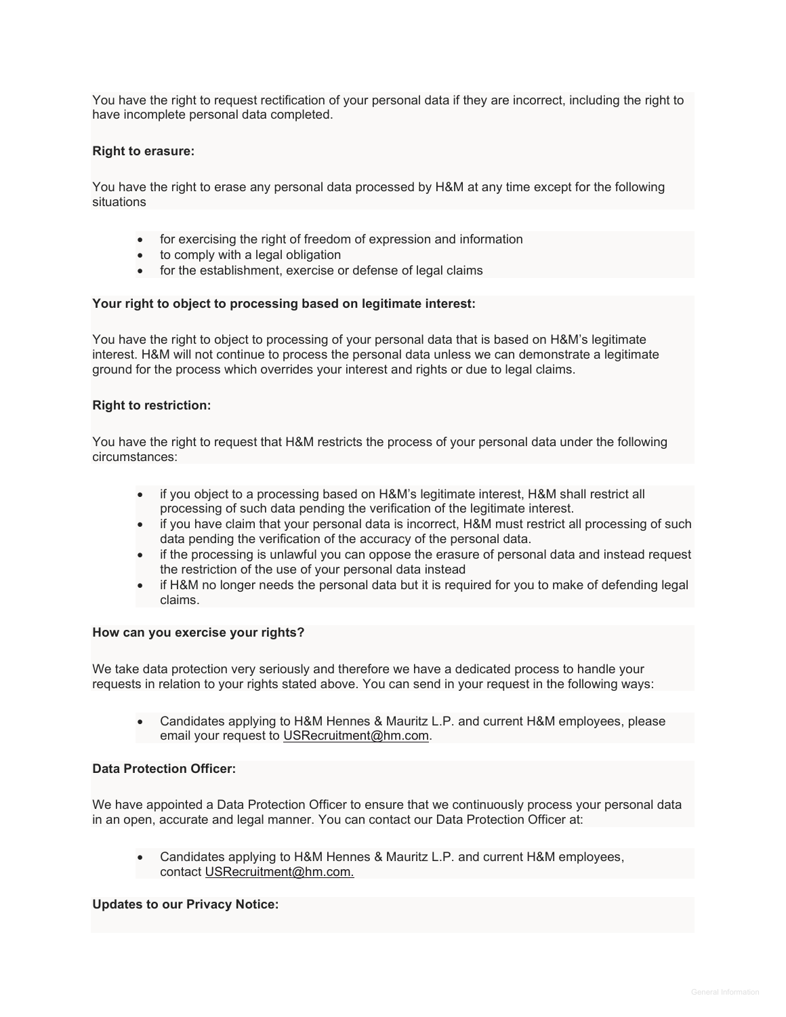You have the right to request rectification of your personal data if they are incorrect, including the right to have incomplete personal data completed.

#### **Right to erasure:**

You have the right to erase any personal data processed by H&M at any time except for the following situations

- for exercising the right of freedom of expression and information
- to comply with a legal obligation
- for the establishment, exercise or defense of legal claims

#### **Your right to object to processing based on legitimate interest:**

You have the right to object to processing of your personal data that is based on H&M's legitimate interest. H&M will not continue to process the personal data unless we can demonstrate a legitimate ground for the process which overrides your interest and rights or due to legal claims.

#### **Right to restriction:**

You have the right to request that H&M restricts the process of your personal data under the following circumstances:

- if you object to a processing based on H&M's legitimate interest, H&M shall restrict all processing of such data pending the verification of the legitimate interest.
- if you have claim that your personal data is incorrect, H&M must restrict all processing of such data pending the verification of the accuracy of the personal data.
- if the processing is unlawful you can oppose the erasure of personal data and instead request the restriction of the use of your personal data instead
- if H&M no longer needs the personal data but it is required for you to make of defending legal claims.

#### **How can you exercise your rights?**

We take data protection very seriously and therefore we have a dedicated process to handle your requests in relation to your rights stated above. You can send in your request in the following ways:

• Candidates applying to H&M Hennes & Mauritz L.P. and current H&M employees, please email your request to [USRecruitment@hm.com.](mailto:USRecruitment@hm.com)

#### **Data Protection Officer:**

We have appointed a Data Protection Officer to ensure that we continuously process your personal data in an open, accurate and legal manner. You can contact our Data Protection Officer at:

• Candidates applying to H&M Hennes & Mauritz L.P. and current H&M employees, contact [USRecruitment@hm.com.](mailto:USRecruitment@hm.com)

#### **Updates to our Privacy Notice:**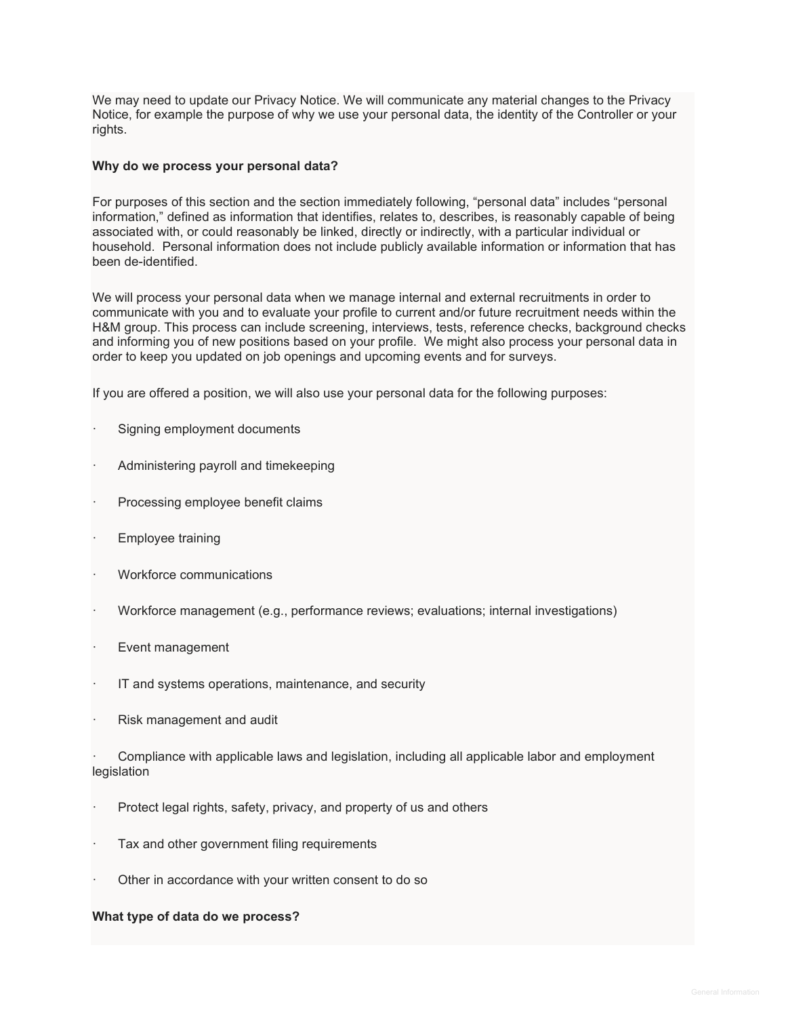We may need to update our Privacy Notice. We will communicate any material changes to the Privacy Notice, for example the purpose of why we use your personal data, the identity of the Controller or your rights.

#### **Why do we process your personal data?**

For purposes of this section and the section immediately following, "personal data" includes "personal information," defined as information that identifies, relates to, describes, is reasonably capable of being associated with, or could reasonably be linked, directly or indirectly, with a particular individual or household. Personal information does not include publicly available information or information that has been de-identified.

We will process your personal data when we manage internal and external recruitments in order to communicate with you and to evaluate your profile to current and/or future recruitment needs within the H&M group. This process can include screening, interviews, tests, reference checks, background checks and informing you of new positions based on your profile. We might also process your personal data in order to keep you updated on job openings and upcoming events and for surveys.

If you are offered a position, we will also use your personal data for the following purposes:

- Signing employment documents
- · Administering payroll and timekeeping
- Processing employee benefit claims
- Employee training
- Workforce communications
- · Workforce management (e.g., performance reviews; evaluations; internal investigations)
- Event management
- IT and systems operations, maintenance, and security
- Risk management and audit

· Compliance with applicable laws and legislation, including all applicable labor and employment legislation

- Protect legal rights, safety, privacy, and property of us and others
- Tax and other government filing requirements
- Other in accordance with your written consent to do so

#### **What type of data do we process?**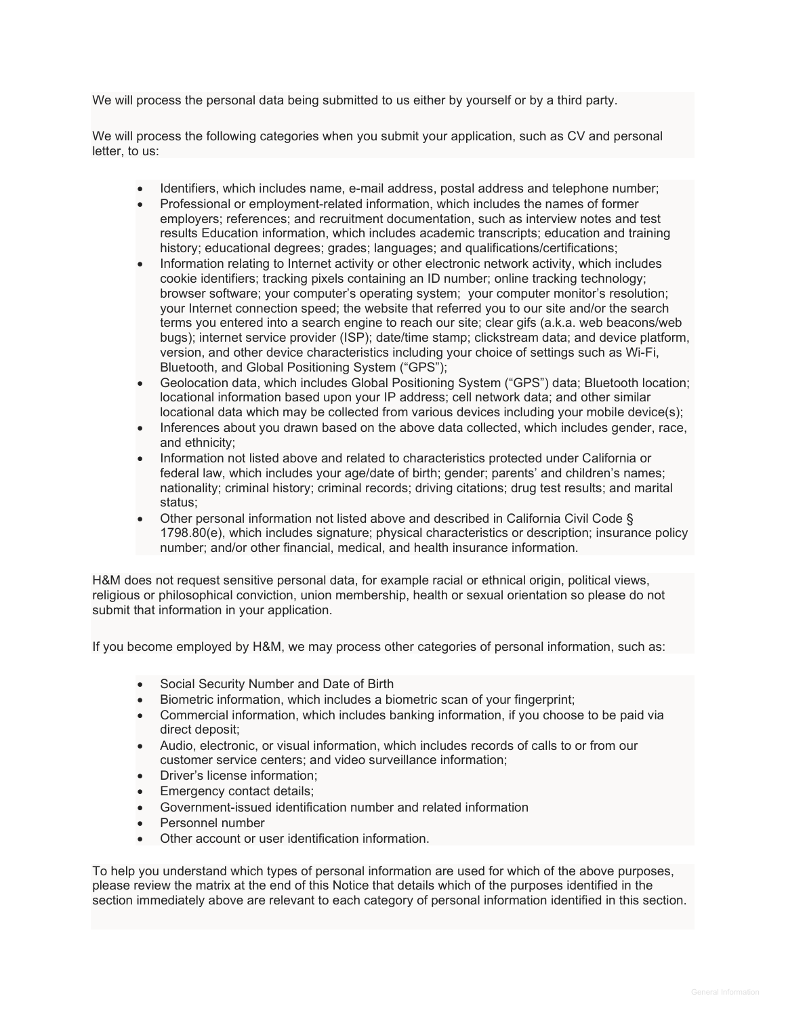We will process the personal data being submitted to us either by yourself or by a third party.

We will process the following categories when you submit your application, such as CV and personal letter, to us:

- Identifiers, which includes name, e-mail address, postal address and telephone number;
- Professional or employment-related information, which includes the names of former employers; references; and recruitment documentation, such as interview notes and test results Education information, which includes academic transcripts; education and training history; educational degrees; grades; languages; and qualifications/certifications;
- Information relating to Internet activity or other electronic network activity, which includes cookie identifiers; tracking pixels containing an ID number; online tracking technology; browser software; your computer's operating system; your computer monitor's resolution; your Internet connection speed; the website that referred you to our site and/or the search terms you entered into a search engine to reach our site; clear gifs (a.k.a. web beacons/web bugs); internet service provider (ISP); date/time stamp; clickstream data; and device platform, version, and other device characteristics including your choice of settings such as Wi-Fi, Bluetooth, and Global Positioning System ("GPS");
- Geolocation data, which includes Global Positioning System ("GPS") data; Bluetooth location; locational information based upon your IP address; cell network data; and other similar locational data which may be collected from various devices including your mobile device(s);
- Inferences about you drawn based on the above data collected, which includes gender, race, and ethnicity;
- Information not listed above and related to characteristics protected under California or federal law, which includes your age/date of birth; gender; parents' and children's names; nationality; criminal history; criminal records; driving citations; drug test results; and marital status;
- Other personal information not listed above and described in California Civil Code § 1798.80(e), which includes signature; physical characteristics or description; insurance policy number; and/or other financial, medical, and health insurance information.

H&M does not request sensitive personal data, for example racial or ethnical origin, political views, religious or philosophical conviction, union membership, health or sexual orientation so please do not submit that information in your application.

If you become employed by H&M, we may process other categories of personal information, such as:

- Social Security Number and Date of Birth
- Biometric information, which includes a biometric scan of your fingerprint;
- Commercial information, which includes banking information, if you choose to be paid via direct deposit;
- Audio, electronic, or visual information, which includes records of calls to or from our customer service centers; and video surveillance information;
- Driver's license information;
- Emergency contact details;
- Government-issued identification number and related information
- Personnel number
- Other account or user identification information.

To help you understand which types of personal information are used for which of the above purposes, please review the matrix at the end of this Notice that details which of the purposes identified in the section immediately above are relevant to each category of personal information identified in this section.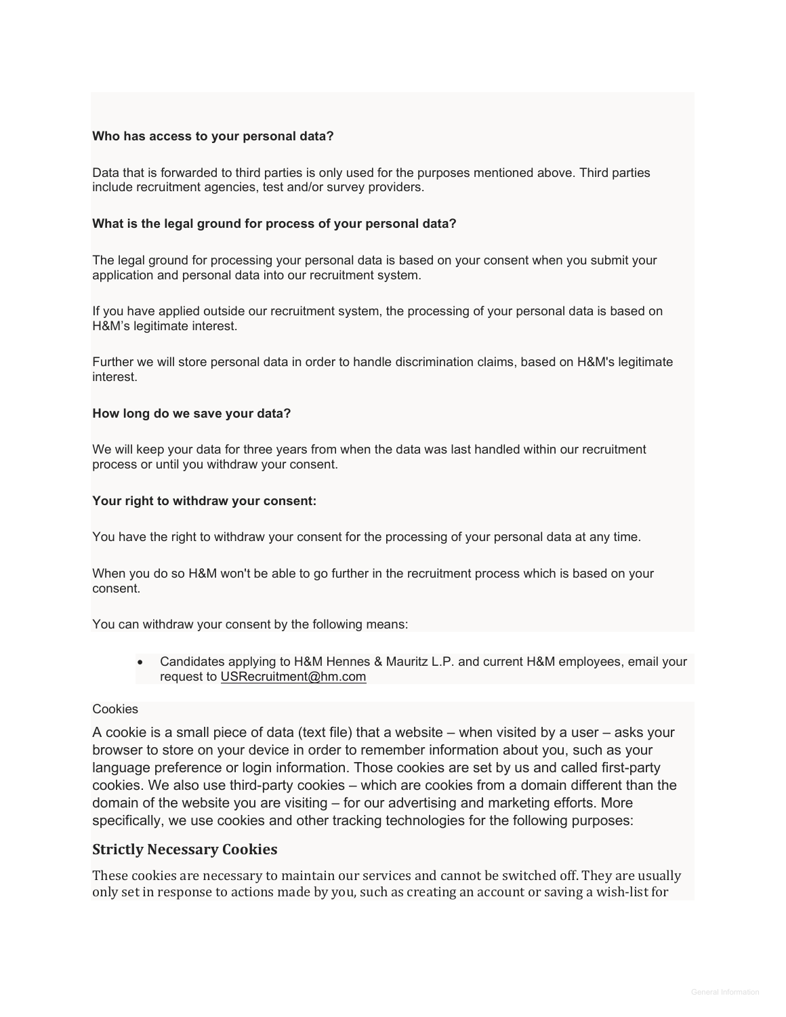#### **Who has access to your personal data?**

Data that is forwarded to third parties is only used for the purposes mentioned above. Third parties include recruitment agencies, test and/or survey providers.

### **What is the legal ground for process of your personal data?**

The legal ground for processing your personal data is based on your consent when you submit your application and personal data into our recruitment system.

If you have applied outside our recruitment system, the processing of your personal data is based on H&M's legitimate interest.

Further we will store personal data in order to handle discrimination claims, based on H&M's legitimate interest.

#### **How long do we save your data?**

We will keep your data for three years from when the data was last handled within our recruitment process or until you withdraw your consent.

#### **Your right to withdraw your consent:**

You have the right to withdraw your consent for the processing of your personal data at any time.

When you do so H&M won't be able to go further in the recruitment process which is based on your consent.

You can withdraw your consent by the following means:

• Candidates applying to H&M Hennes & Mauritz L.P. and current H&M employees, email your request to [USRecruitment@hm.com](mailto:USRecruitment@hm.com)

#### Cookies

A cookie is a small piece of data (text file) that a website – when visited by a user – asks your browser to store on your device in order to remember information about you, such as your language preference or login information. Those cookies are set by us and called first-party cookies. We also use third-party cookies – which are cookies from a domain different than the domain of the website you are visiting – for our advertising and marketing efforts. More specifically, we use cookies and other tracking technologies for the following purposes:

## **Strictly Necessary Cookies**

These cookies are necessary to maintain our services and cannot be switched off. They are usually only set in response to actions made by you, such as creating an account or saving a wish-list for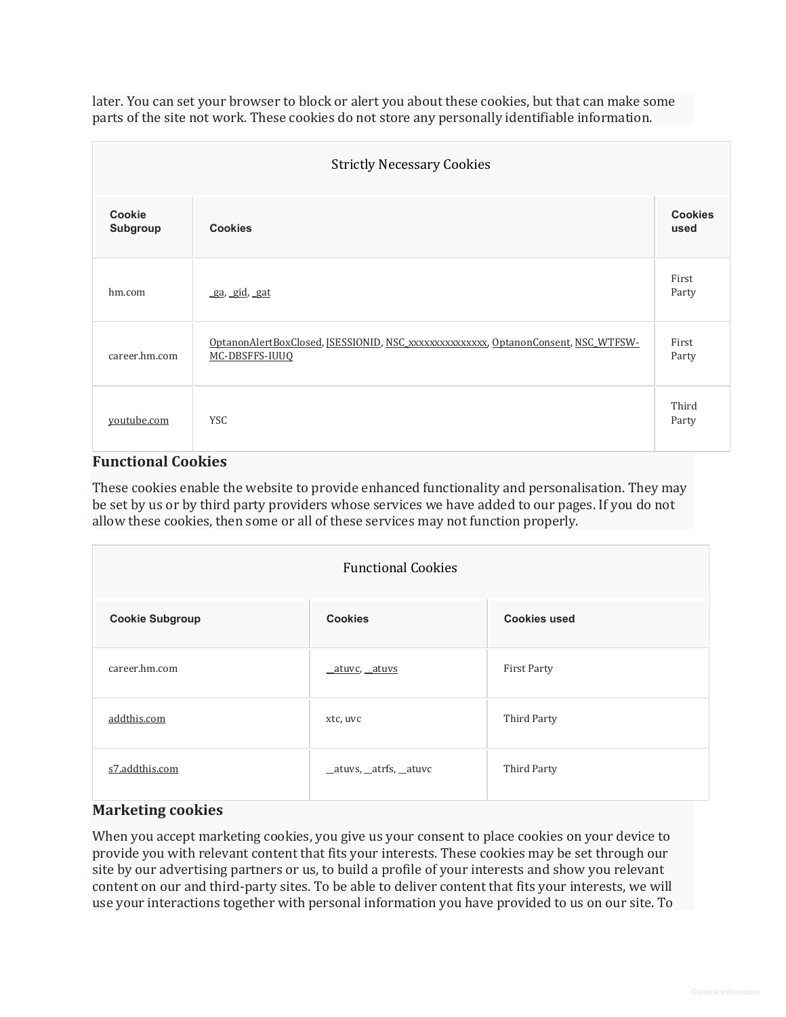later. You can set your browser to block or alert you about these cookies, but that can make some parts of the site not work. These cookies do not store any personally identifiable information.

| <b>Strictly Necessary Cookies</b> |                                                                                                      |                        |  |  |
|-----------------------------------|------------------------------------------------------------------------------------------------------|------------------------|--|--|
| <b>Cookie</b><br>Subgroup         | <b>Cookies</b>                                                                                       | <b>Cookies</b><br>used |  |  |
| hm.com                            | ga, gid, gat                                                                                         | First<br>Party         |  |  |
| career.hm.com                     | OptanonAlertBoxClosed, [SESSIONID, NSC xxxxxxxxxxxxxxx, OptanonConsent, NSC WTFSW-<br>MC-DBSFFS-IUUQ | First<br>Party         |  |  |
| youtube.com                       | <b>YSC</b>                                                                                           | Third<br>Party         |  |  |

## **Functional Cookies**

These cookies enable the website to provide enhanced functionality and personalisation. They may be set by us or by third party providers whose services we have added to our pages. If you do not allow these cookies, then some or all of these services may not function properly.

| <b>Functional Cookies</b> |                        |                     |  |  |
|---------------------------|------------------------|---------------------|--|--|
| <b>Cookie Subgroup</b>    | <b>Cookies</b>         | <b>Cookies used</b> |  |  |
| career.hm.com             | atuvc, atuvs           | <b>First Party</b>  |  |  |
| addthis.com               | xtc, uvc               | Third Party         |  |  |
| s7.addthis.com            | _atuvs, _atrfs, _atuvc | Third Party         |  |  |

# **Marketing cookies**

When you accept marketing cookies, you give us your consent to place cookies on your device to provide you with relevant content that fits your interests. These cookies may be set through our site by our advertising partners or us, to build a profile of your interests and show you relevant content on our and third-party sites. To be able to deliver content that fits your interests, we will use your interactions together with personal information you have provided to us on our site. To